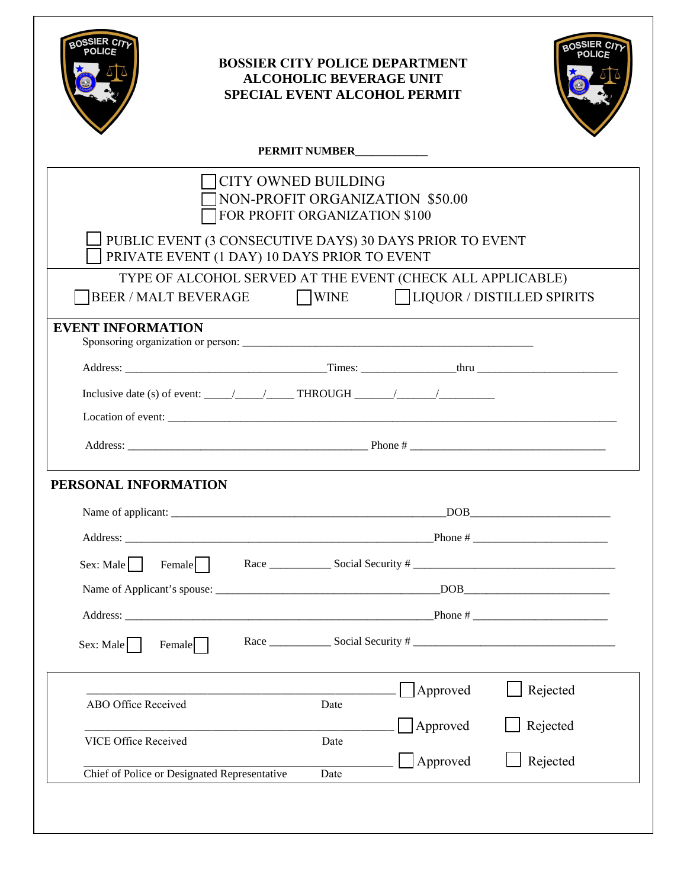| BOSSIER C <sub>17</sub><br>POLICE<br><b>BOSSIER CITY POLICE DEPARTMENT</b><br><b>ALCOHOLIC BEVERAGE UNIT</b><br><b>SPECIAL EVENT ALCOHOL PERMIT</b> |                                                                                                                    |      |                                 |                         |  |  |
|-----------------------------------------------------------------------------------------------------------------------------------------------------|--------------------------------------------------------------------------------------------------------------------|------|---------------------------------|-------------------------|--|--|
| PERMIT NUMBER                                                                                                                                       |                                                                                                                    |      |                                 |                         |  |  |
|                                                                                                                                                     | CITY OWNED BUILDING<br>FOR PROFIT ORGANIZATION \$100                                                               |      | NON-PROFIT ORGANIZATION \$50.00 |                         |  |  |
|                                                                                                                                                     | PUBLIC EVENT (3 CONSECUTIVE DAYS) 30 DAYS PRIOR TO EVENT<br>PRIVATE EVENT (1 DAY) 10 DAYS PRIOR TO EVENT           |      |                                 |                         |  |  |
|                                                                                                                                                     | TYPE OF ALCOHOL SERVED AT THE EVENT (CHECK ALL APPLICABLE)<br>BEER / MALT BEVERAGE WINE LIQUOR / DISTILLED SPIRITS |      |                                 |                         |  |  |
| <b>EVENT INFORMATION</b>                                                                                                                            |                                                                                                                    |      |                                 |                         |  |  |
|                                                                                                                                                     |                                                                                                                    |      |                                 |                         |  |  |
|                                                                                                                                                     |                                                                                                                    |      |                                 |                         |  |  |
|                                                                                                                                                     |                                                                                                                    |      |                                 |                         |  |  |
|                                                                                                                                                     |                                                                                                                    |      |                                 |                         |  |  |
| PERSONAL INFORMATION                                                                                                                                |                                                                                                                    |      |                                 |                         |  |  |
| Name of applicant:                                                                                                                                  |                                                                                                                    |      |                                 | $\overline{\text{DOB}}$ |  |  |
|                                                                                                                                                     |                                                                                                                    |      |                                 |                         |  |  |
| Sex: Male                                                                                                                                           | Female                                                                                                             |      |                                 | Race Social Security #  |  |  |
|                                                                                                                                                     |                                                                                                                    |      |                                 |                         |  |  |
|                                                                                                                                                     |                                                                                                                    |      |                                 |                         |  |  |
| Sex: Male<br>Female                                                                                                                                 |                                                                                                                    |      |                                 |                         |  |  |
| ABO Office Received                                                                                                                                 |                                                                                                                    | Date | $\Box$ Approved                 | Rejected                |  |  |
|                                                                                                                                                     |                                                                                                                    |      | $\Box$ Approved                 | Rejected                |  |  |
| <b>VICE Office Received</b>                                                                                                                         |                                                                                                                    | Date |                                 |                         |  |  |
| Chief of Police or Designated Representative                                                                                                        |                                                                                                                    | Date | $\Box$ Approved                 | Rejected                |  |  |
|                                                                                                                                                     |                                                                                                                    |      |                                 |                         |  |  |